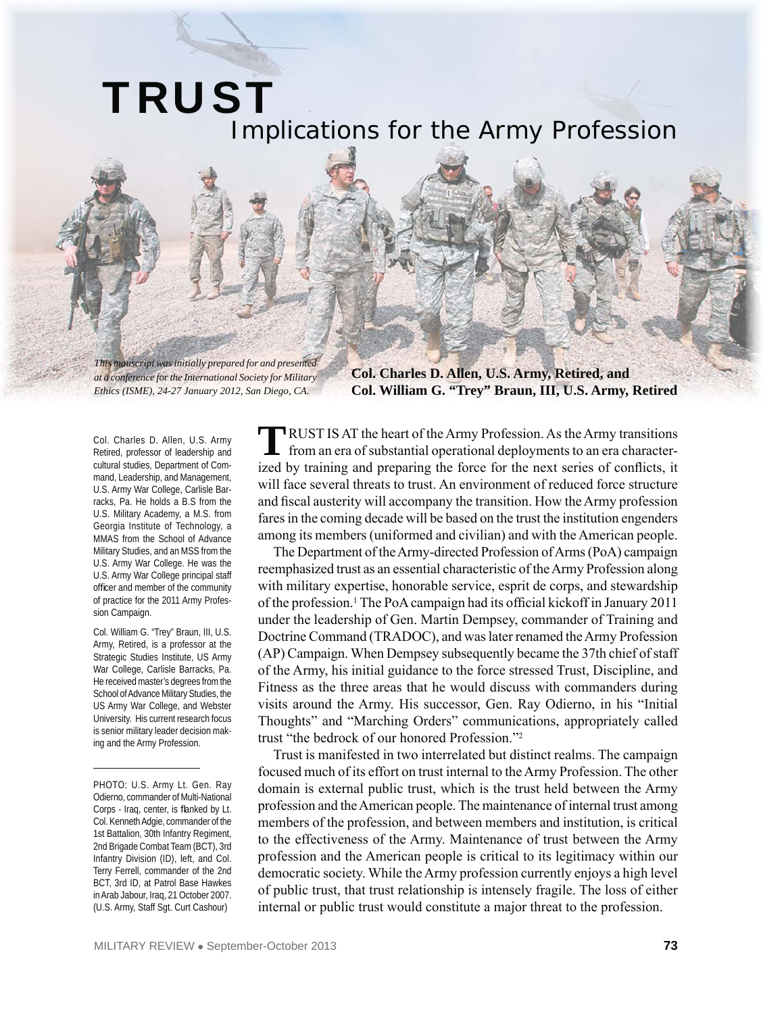# TRUST Implications for the Army Profession

*This mauscript was initially prepared for and presented at a conference for the International Society for Military Ethics (ISME), 24-27 January 2012, San Diego, CA.*

**Col. Charles D. Allen, U.S. Army, Retired, and Col. William G. "Trey" Braun, III, U.S. Army, Retired**

Col. Charles D. Allen, U.S. Army Retired, professor of leadership and cultural studies, Department of Command, Leadership, and Management, U.S. Army War College, Carlisle Barracks, Pa. He holds a B.S from the U.S. Military Academy, a M.S. from Georgia Institute of Technology, a MMAS from the School of Advance Military Studies, and an MSS from the U.S. Army War College. He was the U.S. Army War College principal staff officer and member of the community of practice for the 2011 Army Profession Campaign.

Col. William G. "Trey" Braun, III, U.S. Army, Retired, is a professor at the Strategic Studies Institute, US Army War College, Carlisle Barracks, Pa. He received master's degrees from the School of Advance Military Studies, the US Army War College, and Webster University. His current research focus is senior military leader decision making and the Army Profession.

**T**RUST IS AT the heart of the Army Profession. As the Army transitions from an era of substantial operational deployments to an era characterized by training and preparing the force for the next series of conflicts, it will face several threats to trust. An environment of reduced force structure and fiscal austerity will accompany the transition. How the Army profession fares in the coming decade will be based on the trust the institution engenders among its members (uniformed and civilian) and with the American people.

The Department of the Army-directed Profession of Arms (PoA) campaign reemphasized trust as an essential characteristic of the Army Profession along with military expertise, honorable service, esprit de corps, and stewardship of the profession.1 The PoA campaign had its official kickoff in January 2011 under the leadership of Gen. Martin Dempsey, commander of Training and Doctrine Command (TRADOC), and was later renamed the Army Profession (AP) Campaign. When Dempsey subsequently became the 37th chief of staff of the Army, his initial guidance to the force stressed Trust, Discipline, and Fitness as the three areas that he would discuss with commanders during visits around the Army. His successor, Gen. Ray Odierno, in his "Initial Thoughts" and "Marching Orders" communications, appropriately called trust "the bedrock of our honored Profession."2

Trust is manifested in two interrelated but distinct realms. The campaign focused much of its effort on trust internal to the Army Profession. The other domain is external public trust, which is the trust held between the Army profession and the American people. The maintenance of internal trust among members of the profession, and between members and institution, is critical to the effectiveness of the Army. Maintenance of trust between the Army profession and the American people is critical to its legitimacy within our democratic society. While the Army profession currently enjoys a high level of public trust, that trust relationship is intensely fragile. The loss of either internal or public trust would constitute a major threat to the profession.

PHOTO: U.S. Army Lt. Gen. Ray Odierno, commander of Multi-National Corps - Iraq, center, is flanked by Lt. Col. Kenneth Adgie, commander of the 1st Battalion, 30th Infantry Regiment, 2nd Brigade Combat Team (BCT), 3rd Infantry Division (ID), left, and Col. Terry Ferrell, commander of the 2nd BCT, 3rd ID, at Patrol Base Hawkes in Arab Jabour, Iraq, 21 October 2007. (U.S. Army, Staff Sgt. Curt Cashour)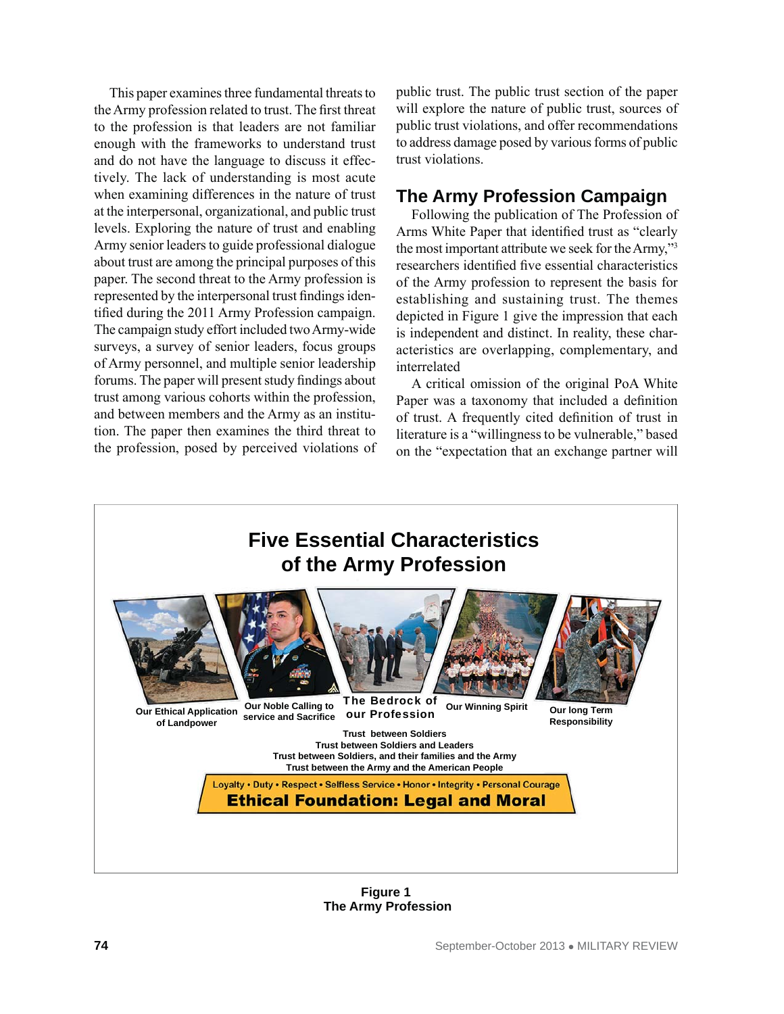This paper examines three fundamental threats to the Army profession related to trust. The first threat to the profession is that leaders are not familiar enough with the frameworks to understand trust and do not have the language to discuss it effectively. The lack of understanding is most acute when examining differences in the nature of trust at the interpersonal, organizational, and public trust levels. Exploring the nature of trust and enabling Army senior leaders to guide professional dialogue about trust are among the principal purposes of this paper. The second threat to the Army profession is represented by the interpersonal trust findings identified during the 2011 Army Profession campaign. The campaign study effort included two Army-wide surveys, a survey of senior leaders, focus groups of Army personnel, and multiple senior leadership forums. The paper will present study findings about trust among various cohorts within the profession, and between members and the Army as an institution. The paper then examines the third threat to the profession, posed by perceived violations of

public trust. The public trust section of the paper will explore the nature of public trust, sources of public trust violations, and offer recommendations to address damage posed by various forms of public trust violations.

#### **The Army Profession Campaign**

Following the publication of The Profession of Arms White Paper that identified trust as "clearly the most important attribute we seek for the Army,"3 researchers identified five essential characteristics of the Army profession to represent the basis for establishing and sustaining trust. The themes depicted in Figure 1 give the impression that each is independent and distinct. In reality, these characteristics are overlapping, complementary, and interrelated

A critical omission of the original PoA White Paper was a taxonomy that included a definition of trust. A frequently cited definition of trust in literature is a "willingness to be vulnerable," based on the "expectation that an exchange partner will



**Figure 1 The Army Profession**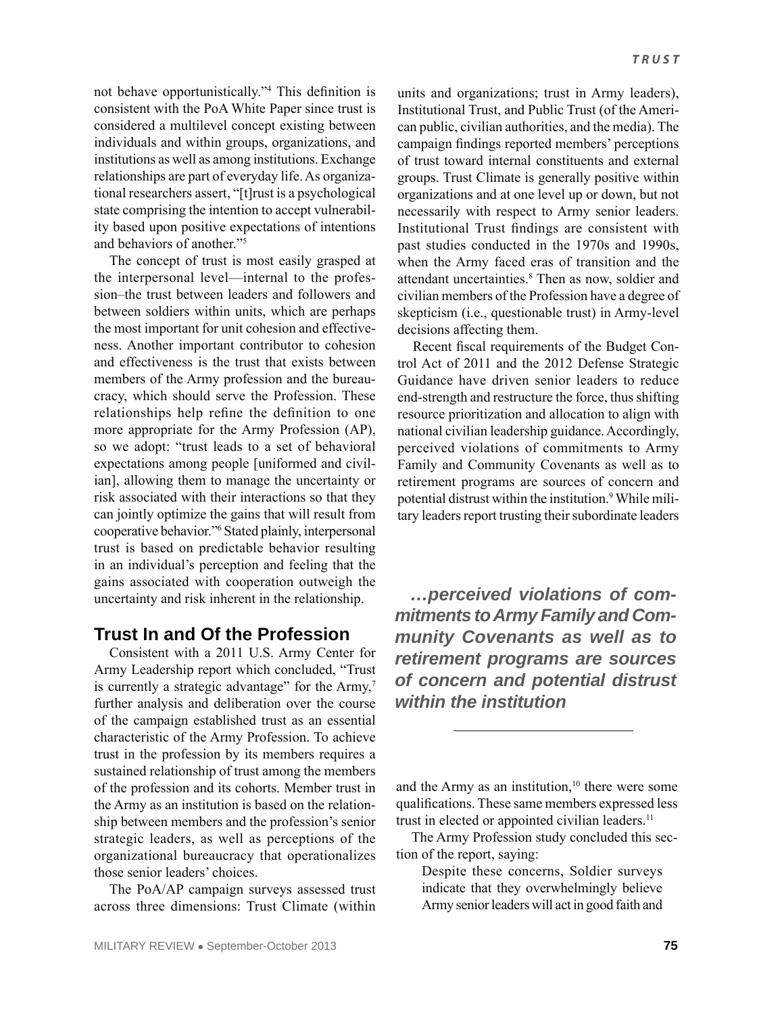not behave opportunistically."4 This definition is consistent with the PoA White Paper since trust is considered a multilevel concept existing between individuals and within groups, organizations, and institutions as well as among institutions. Exchange relationships are part of everyday life. As organizational researchers assert, "[t]rust is a psychological state comprising the intention to accept vulnerability based upon positive expectations of intentions and behaviors of another."5

The concept of trust is most easily grasped at the interpersonal level—internal to the profession–the trust between leaders and followers and between soldiers within units, which are perhaps the most important for unit cohesion and effectiveness. Another important contributor to cohesion and effectiveness is the trust that exists between members of the Army profession and the bureaucracy, which should serve the Profession. These relationships help refine the definition to one more appropriate for the Army Profession (AP), so we adopt: "trust leads to a set of behavioral expectations among people [uniformed and civilian], allowing them to manage the uncertainty or risk associated with their interactions so that they can jointly optimize the gains that will result from cooperative behavior."6 Stated plainly, interpersonal trust is based on predictable behavior resulting in an individual's perception and feeling that the gains associated with cooperation outweigh the uncertainty and risk inherent in the relationship.

#### **Trust In and Of the Profession**

Consistent with a 2011 U.S. Army Center for Army Leadership report which concluded, "Trust is currently a strategic advantage" for the  $\text{Army},^7$ further analysis and deliberation over the course of the campaign established trust as an essential characteristic of the Army Profession. To achieve trust in the profession by its members requires a sustained relationship of trust among the members of the profession and its cohorts. Member trust in the Army as an institution is based on the relationship between members and the profession's senior strategic leaders, as well as perceptions of the organizational bureaucracy that operationalizes those senior leaders' choices.

The PoA/AP campaign surveys assessed trust across three dimensions: Trust Climate (within

Institutional Trust, and Public Trust (of the American public, civilian authorities, and the media). The campaign findings reported members' perceptions of trust toward internal constituents and external groups. Trust Climate is generally positive within organizations and at one level up or down, but not necessarily with respect to Army senior leaders. Institutional Trust findings are consistent with past studies conducted in the 1970s and 1990s, when the Army faced eras of transition and the attendant uncertainties.8 Then as now, soldier and civilian members of the Profession have a degree of skepticism (i.e., questionable trust) in Army-level decisions affecting them. Recent fiscal requirements of the Budget Con-

units and organizations; trust in Army leaders),

trol Act of 2011 and the 2012 Defense Strategic Guidance have driven senior leaders to reduce end-strength and restructure the force, thus shifting resource prioritization and allocation to align with national civilian leadership guidance. Accordingly, perceived violations of commitments to Army Family and Community Covenants as well as to retirement programs are sources of concern and potential distrust within the institution.<sup>9</sup> While military leaders report trusting their subordinate leaders

*…perceived violations of commitments to Army Family and Community Covenants as well as to retirement programs are sources of concern and potential distrust within the institution*

and the Army as an institution,<sup>10</sup> there were some qualifications. These same members expressed less trust in elected or appointed civilian leaders. $11$ 

The Army Profession study concluded this section of the report, saying:

Despite these concerns, Soldier surveys indicate that they overwhelmingly believe Army senior leaders will act in good faith and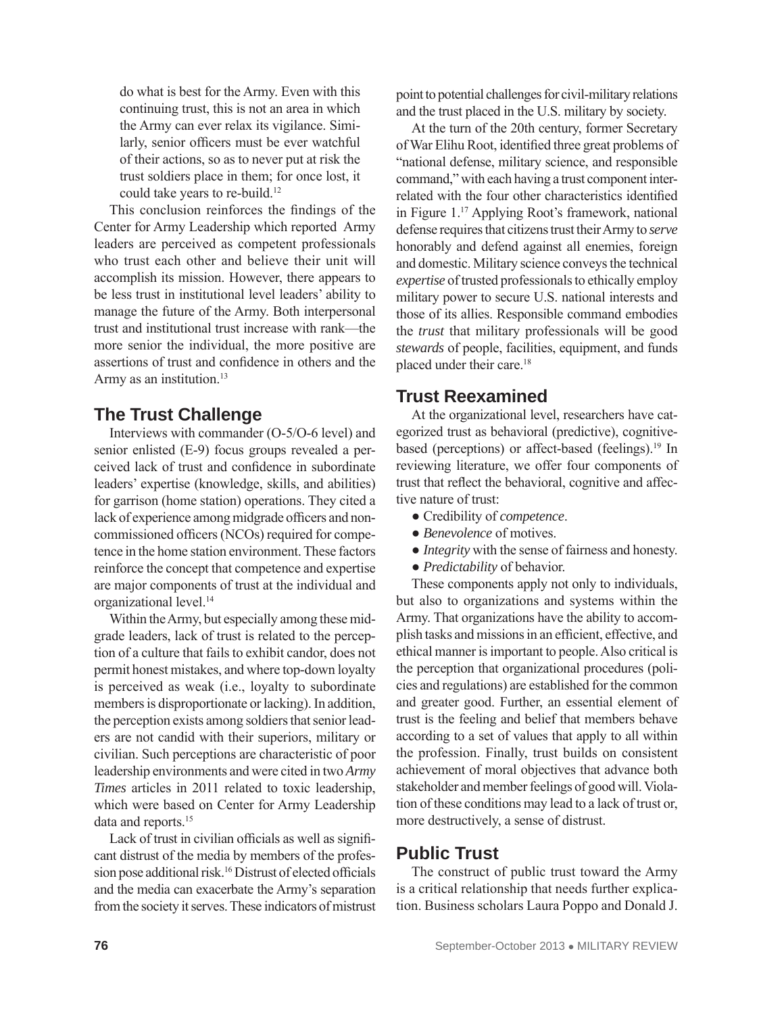do what is best for the Army. Even with this continuing trust, this is not an area in which the Army can ever relax its vigilance. Similarly, senior officers must be ever watchful of their actions, so as to never put at risk the trust soldiers place in them; for once lost, it could take years to re-build.<sup>12</sup>

This conclusion reinforces the findings of the Center for Army Leadership which reported Army leaders are perceived as competent professionals who trust each other and believe their unit will accomplish its mission. However, there appears to be less trust in institutional level leaders' ability to manage the future of the Army. Both interpersonal trust and institutional trust increase with rank—the more senior the individual, the more positive are assertions of trust and confidence in others and the Army as an institution.<sup>13</sup>

# **The Trust Challenge**

Interviews with commander (O-5/O-6 level) and senior enlisted (E-9) focus groups revealed a perceived lack of trust and confidence in subordinate leaders' expertise (knowledge, skills, and abilities) for garrison (home station) operations. They cited a lack of experience among midgrade officers and noncommissioned officers (NCOs) required for competence in the home station environment. These factors reinforce the concept that competence and expertise are major components of trust at the individual and organizational level.14

Within the Army, but especially among these midgrade leaders, lack of trust is related to the perception of a culture that fails to exhibit candor, does not permit honest mistakes, and where top-down loyalty is perceived as weak (i.e., loyalty to subordinate members is disproportionate or lacking). In addition, the perception exists among soldiers that senior leaders are not candid with their superiors, military or civilian. Such perceptions are characteristic of poor leadership environments and were cited in two *Army Times* articles in 2011 related to toxic leadership, which were based on Center for Army Leadership data and reports.<sup>15</sup>

Lack of trust in civilian officials as well as significant distrust of the media by members of the profession pose additional risk.16 Distrust of elected officials and the media can exacerbate the Army's separation from the society it serves. These indicators of mistrust point to potential challenges for civil-military relations and the trust placed in the U.S. military by society.

At the turn of the 20th century, former Secretary of War Elihu Root, identified three great problems of "national defense, military science, and responsible command," with each having a trust component interrelated with the four other characteristics identified in Figure 1.17 Applying Root's framework, national defense requires that citizens trust their Army to *serve* honorably and defend against all enemies, foreign and domestic. Military science conveys the technical *expertise* of trusted professionals to ethically employ military power to secure U.S. national interests and those of its allies. Responsible command embodies the *trust* that military professionals will be good *stewards* of people, facilities, equipment, and funds placed under their care.<sup>18</sup>

## **Trust Reexamined**

At the organizational level, researchers have categorized trust as behavioral (predictive), cognitivebased (perceptions) or affect-based (feelings).<sup>19</sup> In reviewing literature, we offer four components of trust that reflect the behavioral, cognitive and affective nature of trust:

- Credibility of *competence*.
- *Benevolence* of motives.
- *Integrity* with the sense of fairness and honesty.
- *Predictability* of behavior.

These components apply not only to individuals, but also to organizations and systems within the Army. That organizations have the ability to accomplish tasks and missions in an efficient, effective, and ethical manner is important to people. Also critical is the perception that organizational procedures (policies and regulations) are established for the common and greater good. Further, an essential element of trust is the feeling and belief that members behave according to a set of values that apply to all within the profession. Finally, trust builds on consistent achievement of moral objectives that advance both stakeholder and member feelings of good will. Violation of these conditions may lead to a lack of trust or, more destructively, a sense of distrust.

# **Public Trust**

The construct of public trust toward the Army is a critical relationship that needs further explication. Business scholars Laura Poppo and Donald J.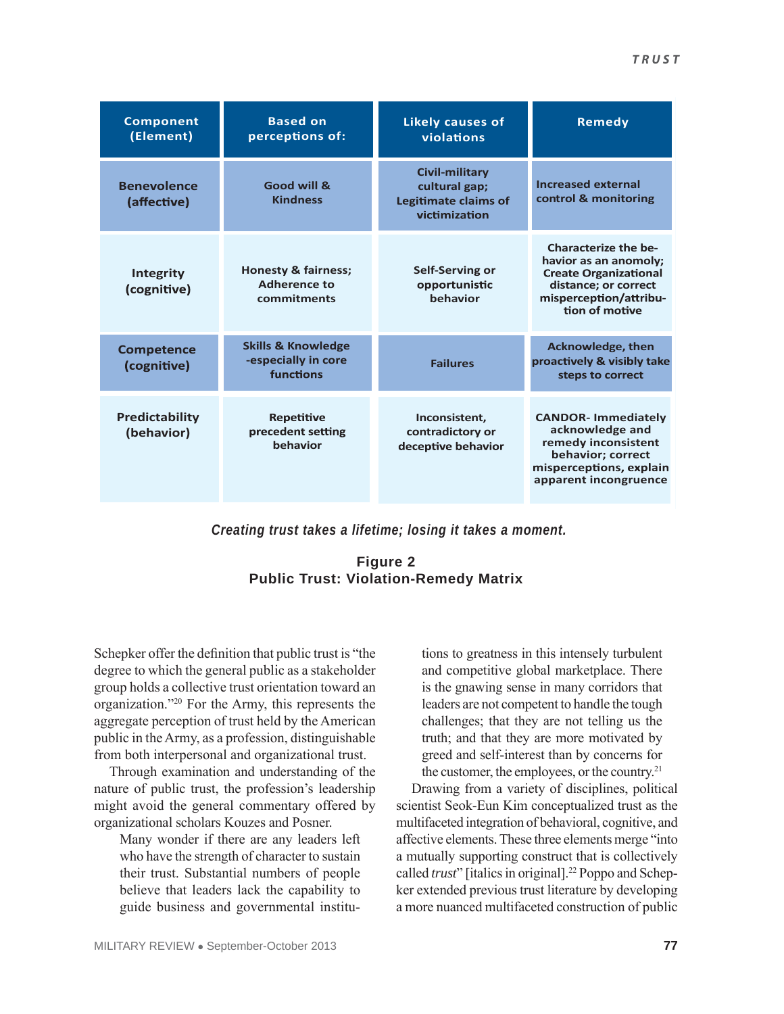| <b>Component</b><br>(Element)     | <b>Based on</b><br>perceptions of:                                   | <b>Likely causes of</b><br>violations                                           | Remedy                                                                                                                                                   |
|-----------------------------------|----------------------------------------------------------------------|---------------------------------------------------------------------------------|----------------------------------------------------------------------------------------------------------------------------------------------------------|
| <b>Benevolence</b><br>(affective) | Good will &<br><b>Kindness</b>                                       | <b>Civil-military</b><br>cultural gap;<br>Legitimate claims of<br>victimization | <b>Increased external</b><br>control & monitoring                                                                                                        |
| <b>Integrity</b><br>(cognitive)   | <b>Honesty &amp; fairness;</b><br><b>Adherence to</b><br>commitments | Self-Serving or<br>opportunistic<br>behavior                                    | <b>Characterize the be-</b><br>havior as an anomoly;<br><b>Create Organizational</b><br>distance; or correct<br>misperception/attribu-<br>tion of motive |
| <b>Competence</b><br>(cognitive)  | <b>Skills &amp; Knowledge</b><br>-especially in core<br>functions    | <b>Failures</b>                                                                 | Acknowledge, then<br>proactively & visibly take<br>steps to correct                                                                                      |
| Predictability<br>(behavior)      | Repetitive<br>precedent setting<br>behavior                          | Inconsistent,<br>contradictory or<br>deceptive behavior                         | <b>CANDOR-Immediately</b><br>acknowledge and<br>remedy inconsistent<br>behavior; correct<br>misperceptions, explain<br>apparent incongruence             |

*Creating trust takes a lifetime; losing it takes a moment.*

#### **Figure 2 Public Trust: Violation-Remedy Matrix**

Schepker offer the definition that public trust is "the degree to which the general public as a stakeholder group holds a collective trust orientation toward an organization."20 For the Army, this represents the aggregate perception of trust held by the American public in the Army, as a profession, distinguishable from both interpersonal and organizational trust.

Through examination and understanding of the nature of public trust, the profession's leadership might avoid the general commentary offered by organizational scholars Kouzes and Posner.

Many wonder if there are any leaders left who have the strength of character to sustain their trust. Substantial numbers of people believe that leaders lack the capability to guide business and governmental institutions to greatness in this intensely turbulent and competitive global marketplace. There is the gnawing sense in many corridors that leaders are not competent to handle the tough challenges; that they are not telling us the truth; and that they are more motivated by greed and self-interest than by concerns for the customer, the employees, or the country.<sup>21</sup>

Drawing from a variety of disciplines, political scientist Seok-Eun Kim conceptualized trust as the multifaceted integration of behavioral, cognitive, and affective elements. These three elements merge "into a mutually supporting construct that is collectively called *trust*" [italics in original].<sup>22</sup> Poppo and Schepker extended previous trust literature by developing a more nuanced multifaceted construction of public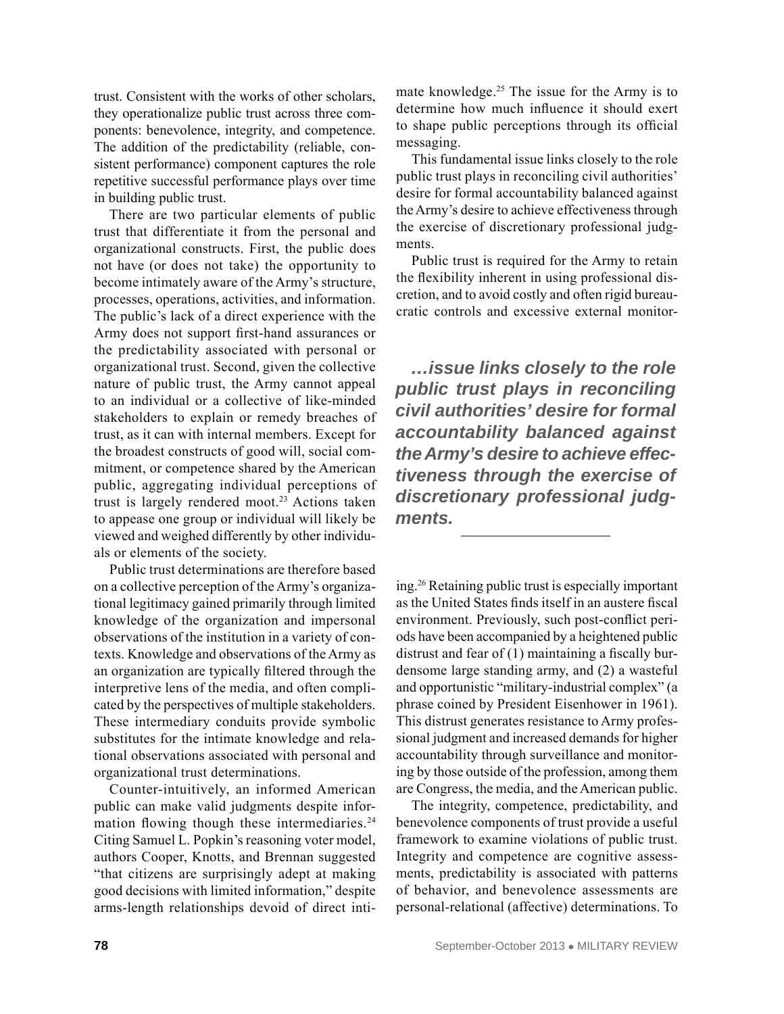trust. Consistent with the works of other scholars, they operationalize public trust across three components: benevolence, integrity, and competence. The addition of the predictability (reliable, consistent performance) component captures the role repetitive successful performance plays over time in building public trust.

There are two particular elements of public trust that differentiate it from the personal and organizational constructs. First, the public does not have (or does not take) the opportunity to become intimately aware of the Army's structure, processes, operations, activities, and information. The public's lack of a direct experience with the Army does not support first-hand assurances or the predictability associated with personal or organizational trust. Second, given the collective nature of public trust, the Army cannot appeal to an individual or a collective of like-minded stakeholders to explain or remedy breaches of trust, as it can with internal members. Except for the broadest constructs of good will, social commitment, or competence shared by the American public, aggregating individual perceptions of trust is largely rendered moot.<sup>23</sup> Actions taken to appease one group or individual will likely be viewed and weighed differently by other individuals or elements of the society.

Public trust determinations are therefore based on a collective perception of the Army's organizational legitimacy gained primarily through limited knowledge of the organization and impersonal observations of the institution in a variety of contexts. Knowledge and observations of the Army as an organization are typically filtered through the interpretive lens of the media, and often complicated by the perspectives of multiple stakeholders. These intermediary conduits provide symbolic substitutes for the intimate knowledge and relational observations associated with personal and organizational trust determinations.

Counter-intuitively, an informed American public can make valid judgments despite information flowing though these intermediaries.<sup>24</sup> Citing Samuel L. Popkin's reasoning voter model, authors Cooper, Knotts, and Brennan suggested "that citizens are surprisingly adept at making good decisions with limited information," despite arms-length relationships devoid of direct intimate knowledge.25 The issue for the Army is to determine how much influence it should exert to shape public perceptions through its official messaging.

This fundamental issue links closely to the role public trust plays in reconciling civil authorities' desire for formal accountability balanced against the Army's desire to achieve effectiveness through the exercise of discretionary professional judgments.

Public trust is required for the Army to retain the flexibility inherent in using professional discretion, and to avoid costly and often rigid bureaucratic controls and excessive external monitor-

*…issue links closely to the role public trust plays in reconciling civil authorities' desire for formal accountability balanced against the Army's desire to achieve effectiveness through the exercise of discretionary professional judgments.* 

ing.26 Retaining public trust is especially important as the United States finds itself in an austere fiscal environment. Previously, such post-conflict periods have been accompanied by a heightened public distrust and fear of (1) maintaining a fiscally burdensome large standing army, and (2) a wasteful and opportunistic "military-industrial complex" (a phrase coined by President Eisenhower in 1961). This distrust generates resistance to Army professional judgment and increased demands for higher accountability through surveillance and monitoring by those outside of the profession, among them are Congress, the media, and the American public.

The integrity, competence, predictability, and benevolence components of trust provide a useful framework to examine violations of public trust. Integrity and competence are cognitive assessments, predictability is associated with patterns of behavior, and benevolence assessments are personal-relational (affective) determinations. To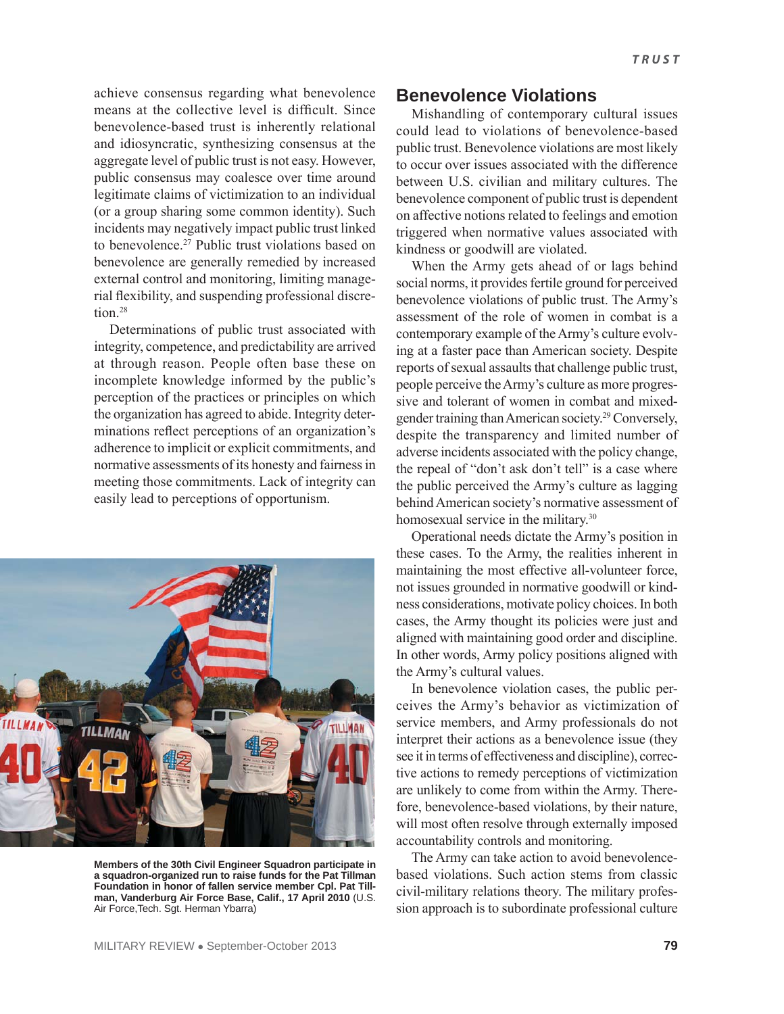achieve consensus regarding what benevolence means at the collective level is difficult. Since benevolence-based trust is inherently relational and idiosyncratic, synthesizing consensus at the aggregate level of public trust is not easy. However, public consensus may coalesce over time around legitimate claims of victimization to an individual (or a group sharing some common identity). Such incidents may negatively impact public trust linked to benevolence.<sup>27</sup> Public trust violations based on benevolence are generally remedied by increased external control and monitoring, limiting managerial flexibility, and suspending professional discretion.28

Determinations of public trust associated with integrity, competence, and predictability are arrived at through reason. People often base these on incomplete knowledge informed by the public's perception of the practices or principles on which the organization has agreed to abide. Integrity determinations reflect perceptions of an organization's adherence to implicit or explicit commitments, and normative assessments of its honesty and fairness in meeting those commitments. Lack of integrity can easily lead to perceptions of opportunism.



**Members of the 30th Civil Engineer Squadron participate in a squadron-organized run to raise funds for the Pat Tillman Foundation in honor of fallen service member Cpl. Pat Tillman, Vanderburg Air Force Base, Calif., 17 April 2010** (U.S. Air Force,Tech. Sgt. Herman Ybarra)

#### **Benevolence Violations**

Mishandling of contemporary cultural issues could lead to violations of benevolence-based public trust. Benevolence violations are most likely to occur over issues associated with the difference between U.S. civilian and military cultures. The benevolence component of public trust is dependent on affective notions related to feelings and emotion triggered when normative values associated with kindness or goodwill are violated.

When the Army gets ahead of or lags behind social norms, it provides fertile ground for perceived benevolence violations of public trust. The Army's assessment of the role of women in combat is a contemporary example of the Army's culture evolving at a faster pace than American society. Despite reports of sexual assaults that challenge public trust, people perceive the Army's culture as more progressive and tolerant of women in combat and mixedgender training than American society.29 Conversely, despite the transparency and limited number of adverse incidents associated with the policy change, the repeal of "don't ask don't tell" is a case where the public perceived the Army's culture as lagging behind American society's normative assessment of homosexual service in the military.<sup>30</sup>

Operational needs dictate the Army's position in these cases. To the Army, the realities inherent in maintaining the most effective all-volunteer force, not issues grounded in normative goodwill or kindness considerations, motivate policy choices. In both cases, the Army thought its policies were just and aligned with maintaining good order and discipline. In other words, Army policy positions aligned with the Army's cultural values.

In benevolence violation cases, the public perceives the Army's behavior as victimization of service members, and Army professionals do not interpret their actions as a benevolence issue (they see it in terms of effectiveness and discipline), corrective actions to remedy perceptions of victimization are unlikely to come from within the Army. Therefore, benevolence-based violations, by their nature, will most often resolve through externally imposed accountability controls and monitoring.

The Army can take action to avoid benevolencebased violations. Such action stems from classic civil-military relations theory. The military profession approach is to subordinate professional culture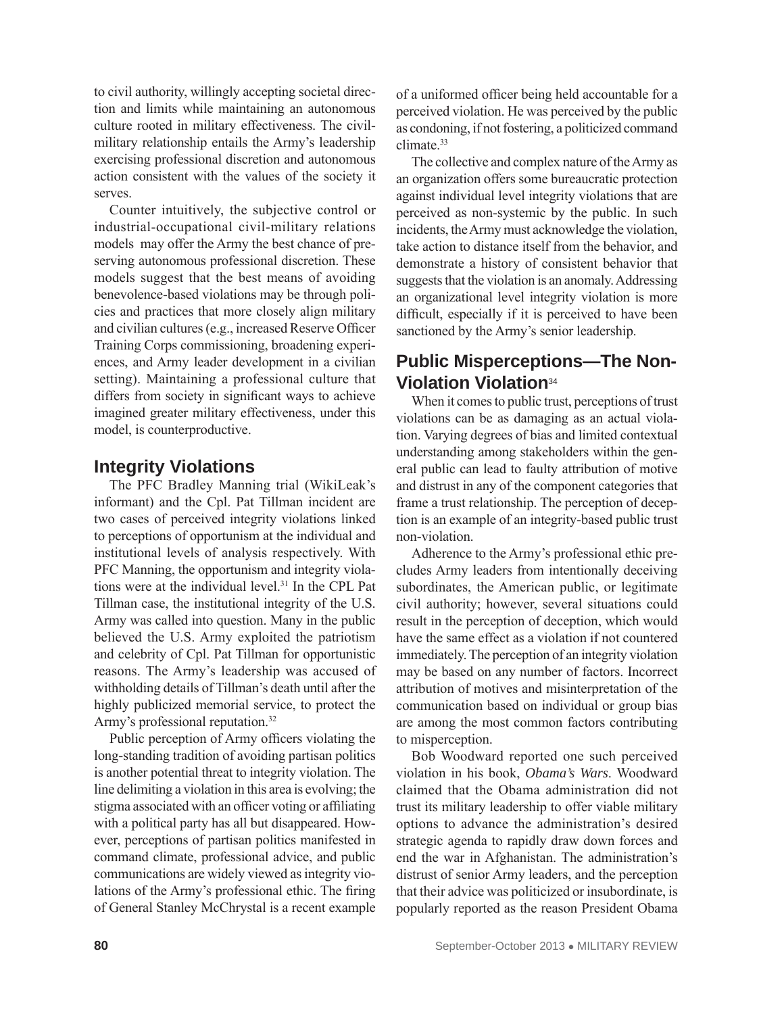to civil authority, willingly accepting societal direction and limits while maintaining an autonomous culture rooted in military effectiveness. The civilmilitary relationship entails the Army's leadership exercising professional discretion and autonomous action consistent with the values of the society it serves.

Counter intuitively, the subjective control or industrial-occupational civil-military relations models may offer the Army the best chance of preserving autonomous professional discretion. These models suggest that the best means of avoiding benevolence-based violations may be through policies and practices that more closely align military and civilian cultures (e.g., increased Reserve Officer Training Corps commissioning, broadening experiences, and Army leader development in a civilian setting). Maintaining a professional culture that differs from society in significant ways to achieve imagined greater military effectiveness, under this model, is counterproductive.

#### **Integrity Violations**

The PFC Bradley Manning trial (WikiLeak's informant) and the Cpl. Pat Tillman incident are two cases of perceived integrity violations linked to perceptions of opportunism at the individual and institutional levels of analysis respectively. With PFC Manning, the opportunism and integrity violations were at the individual level.<sup>31</sup> In the CPL Pat Tillman case, the institutional integrity of the U.S. Army was called into question. Many in the public believed the U.S. Army exploited the patriotism and celebrity of Cpl. Pat Tillman for opportunistic reasons. The Army's leadership was accused of withholding details of Tillman's death until after the highly publicized memorial service, to protect the Army's professional reputation.<sup>32</sup>

Public perception of Army officers violating the long-standing tradition of avoiding partisan politics is another potential threat to integrity violation. The line delimiting a violation in this area is evolving; the stigma associated with an officer voting or affiliating with a political party has all but disappeared. However, perceptions of partisan politics manifested in command climate, professional advice, and public communications are widely viewed as integrity violations of the Army's professional ethic. The firing of General Stanley McChrystal is a recent example of a uniformed officer being held accountable for a perceived violation. He was perceived by the public as condoning, if not fostering, a politicized command climate.<sup>33</sup>

The collective and complex nature of the Army as an organization offers some bureaucratic protection against individual level integrity violations that are perceived as non-systemic by the public. In such incidents, the Army must acknowledge the violation, take action to distance itself from the behavior, and demonstrate a history of consistent behavior that suggests that the violation is an anomaly. Addressing an organizational level integrity violation is more difficult, especially if it is perceived to have been sanctioned by the Army's senior leadership.

# **Public Misperceptions—The Non-Violation Violation**<sup>34</sup>

When it comes to public trust, perceptions of trust violations can be as damaging as an actual violation. Varying degrees of bias and limited contextual understanding among stakeholders within the general public can lead to faulty attribution of motive and distrust in any of the component categories that frame a trust relationship. The perception of deception is an example of an integrity-based public trust non-violation.

Adherence to the Army's professional ethic precludes Army leaders from intentionally deceiving subordinates, the American public, or legitimate civil authority; however, several situations could result in the perception of deception, which would have the same effect as a violation if not countered immediately. The perception of an integrity violation may be based on any number of factors. Incorrect attribution of motives and misinterpretation of the communication based on individual or group bias are among the most common factors contributing to misperception.

Bob Woodward reported one such perceived violation in his book, *Obama's Wars*. Woodward claimed that the Obama administration did not trust its military leadership to offer viable military options to advance the administration's desired strategic agenda to rapidly draw down forces and end the war in Afghanistan. The administration's distrust of senior Army leaders, and the perception that their advice was politicized or insubordinate, is popularly reported as the reason President Obama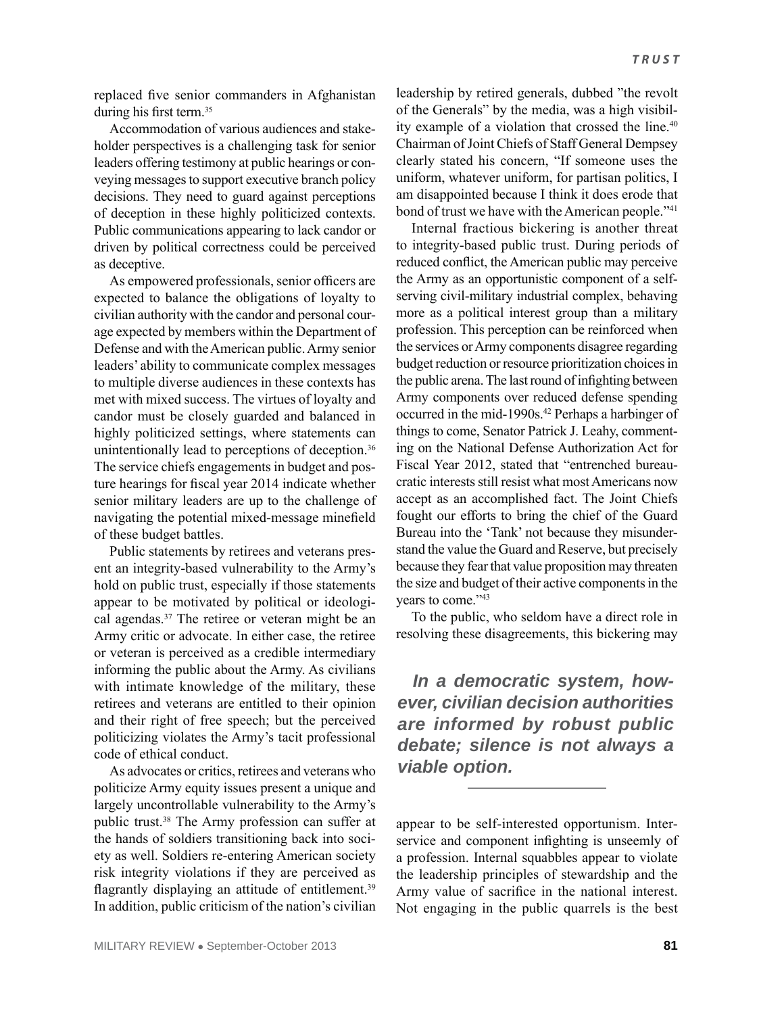replaced five senior commanders in Afghanistan during his first term.<sup>35</sup>

Accommodation of various audiences and stakeholder perspectives is a challenging task for senior leaders offering testimony at public hearings or conveying messages to support executive branch policy decisions. They need to guard against perceptions of deception in these highly politicized contexts. Public communications appearing to lack candor or driven by political correctness could be perceived as deceptive.

As empowered professionals, senior officers are expected to balance the obligations of loyalty to civilian authority with the candor and personal courage expected by members within the Department of Defense and with the American public. Army senior leaders' ability to communicate complex messages to multiple diverse audiences in these contexts has met with mixed success. The virtues of loyalty and candor must be closely guarded and balanced in highly politicized settings, where statements can unintentionally lead to perceptions of deception.<sup>36</sup> The service chiefs engagements in budget and posture hearings for fiscal year 2014 indicate whether senior military leaders are up to the challenge of navigating the potential mixed-message minefield of these budget battles.

Public statements by retirees and veterans present an integrity-based vulnerability to the Army's hold on public trust, especially if those statements appear to be motivated by political or ideological agendas.37 The retiree or veteran might be an Army critic or advocate. In either case, the retiree or veteran is perceived as a credible intermediary informing the public about the Army. As civilians with intimate knowledge of the military, these retirees and veterans are entitled to their opinion and their right of free speech; but the perceived politicizing violates the Army's tacit professional code of ethical conduct.

As advocates or critics, retirees and veterans who politicize Army equity issues present a unique and largely uncontrollable vulnerability to the Army's public trust.38 The Army profession can suffer at the hands of soldiers transitioning back into society as well. Soldiers re-entering American society risk integrity violations if they are perceived as flagrantly displaying an attitude of entitlement.<sup>39</sup> In addition, public criticism of the nation's civilian leadership by retired generals, dubbed "the revolt of the Generals" by the media, was a high visibility example of a violation that crossed the line.<sup>40</sup> Chairman of Joint Chiefs of Staff General Dempsey clearly stated his concern, "If someone uses the uniform, whatever uniform, for partisan politics, I am disappointed because I think it does erode that bond of trust we have with the American people."<sup>41</sup>

Internal fractious bickering is another threat to integrity-based public trust. During periods of reduced conflict, the American public may perceive the Army as an opportunistic component of a selfserving civil-military industrial complex, behaving more as a political interest group than a military profession. This perception can be reinforced when the services or Army components disagree regarding budget reduction or resource prioritization choices in the public arena. The last round of infighting between Army components over reduced defense spending occurred in the mid-1990s.<sup>42</sup> Perhaps a harbinger of things to come, Senator Patrick J. Leahy, commenting on the National Defense Authorization Act for Fiscal Year 2012, stated that "entrenched bureaucratic interests still resist what most Americans now accept as an accomplished fact. The Joint Chiefs fought our efforts to bring the chief of the Guard Bureau into the 'Tank' not because they misunderstand the value the Guard and Reserve, but precisely because they fear that value proposition may threaten the size and budget of their active components in the years to come."43

To the public, who seldom have a direct role in resolving these disagreements, this bickering may

*In a democratic system, however, civilian decision authorities are informed by robust public debate; silence is not always a viable option.*

appear to be self-interested opportunism. Interservice and component infighting is unseemly of a profession. Internal squabbles appear to violate the leadership principles of stewardship and the Army value of sacrifice in the national interest. Not engaging in the public quarrels is the best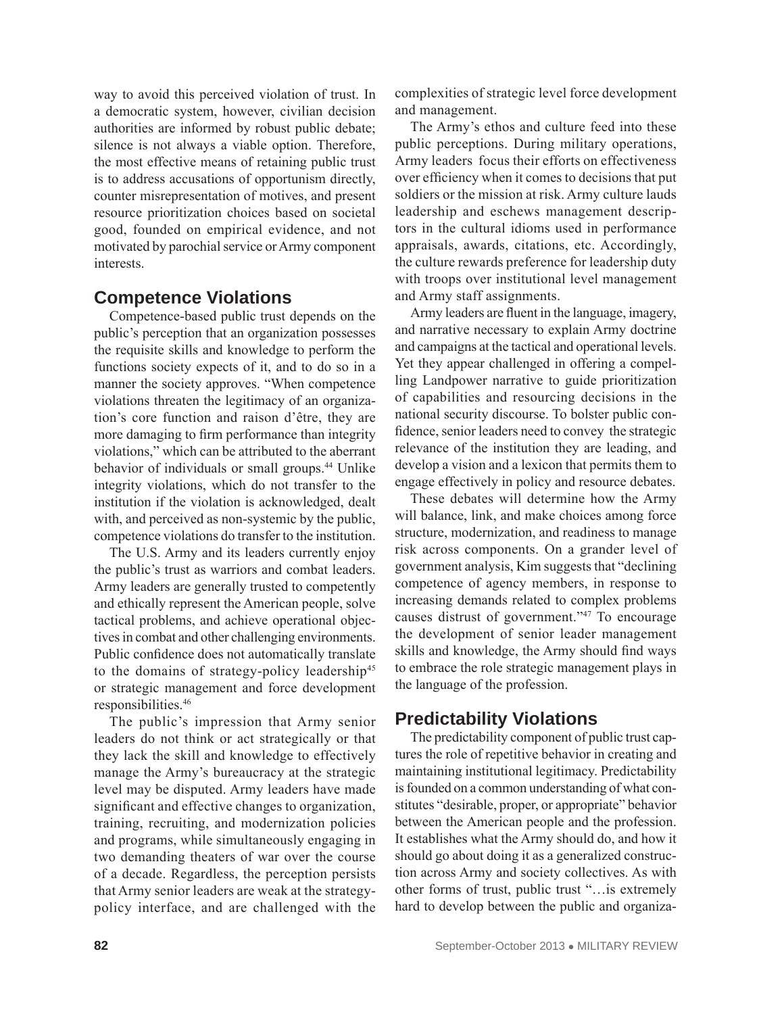way to avoid this perceived violation of trust. In a democratic system, however, civilian decision authorities are informed by robust public debate; silence is not always a viable option. Therefore, the most effective means of retaining public trust is to address accusations of opportunism directly, counter misrepresentation of motives, and present resource prioritization choices based on societal good, founded on empirical evidence, and not motivated by parochial service or Army component interests.

### **Competence Violations**

Competence-based public trust depends on the public's perception that an organization possesses the requisite skills and knowledge to perform the functions society expects of it, and to do so in a manner the society approves. "When competence violations threaten the legitimacy of an organization's core function and raison d'être, they are more damaging to firm performance than integrity violations," which can be attributed to the aberrant behavior of individuals or small groups.44 Unlike integrity violations, which do not transfer to the institution if the violation is acknowledged, dealt with, and perceived as non-systemic by the public, competence violations do transfer to the institution.

The U.S. Army and its leaders currently enjoy the public's trust as warriors and combat leaders. Army leaders are generally trusted to competently and ethically represent the American people, solve tactical problems, and achieve operational objectives in combat and other challenging environments. Public confidence does not automatically translate to the domains of strategy-policy leadership<sup>45</sup> or strategic management and force development responsibilities.46

The public's impression that Army senior leaders do not think or act strategically or that they lack the skill and knowledge to effectively manage the Army's bureaucracy at the strategic level may be disputed. Army leaders have made significant and effective changes to organization, training, recruiting, and modernization policies and programs, while simultaneously engaging in two demanding theaters of war over the course of a decade. Regardless, the perception persists that Army senior leaders are weak at the strategypolicy interface, and are challenged with the complexities of strategic level force development and management.

The Army's ethos and culture feed into these public perceptions. During military operations, Army leaders focus their efforts on effectiveness over efficiency when it comes to decisions that put soldiers or the mission at risk. Army culture lauds leadership and eschews management descriptors in the cultural idioms used in performance appraisals, awards, citations, etc. Accordingly, the culture rewards preference for leadership duty with troops over institutional level management and Army staff assignments.

Army leaders are fluent in the language, imagery, and narrative necessary to explain Army doctrine and campaigns at the tactical and operational levels. Yet they appear challenged in offering a compelling Landpower narrative to guide prioritization of capabilities and resourcing decisions in the national security discourse. To bolster public confidence, senior leaders need to convey the strategic relevance of the institution they are leading, and develop a vision and a lexicon that permits them to engage effectively in policy and resource debates.

These debates will determine how the Army will balance, link, and make choices among force structure, modernization, and readiness to manage risk across components. On a grander level of government analysis, Kim suggests that "declining competence of agency members, in response to increasing demands related to complex problems causes distrust of government."47 To encourage the development of senior leader management skills and knowledge, the Army should find ways to embrace the role strategic management plays in the language of the profession.

#### **Predictability Violations**

The predictability component of public trust captures the role of repetitive behavior in creating and maintaining institutional legitimacy. Predictability is founded on a common understanding of what constitutes "desirable, proper, or appropriate" behavior between the American people and the profession. It establishes what the Army should do, and how it should go about doing it as a generalized construction across Army and society collectives. As with other forms of trust, public trust "…is extremely hard to develop between the public and organiza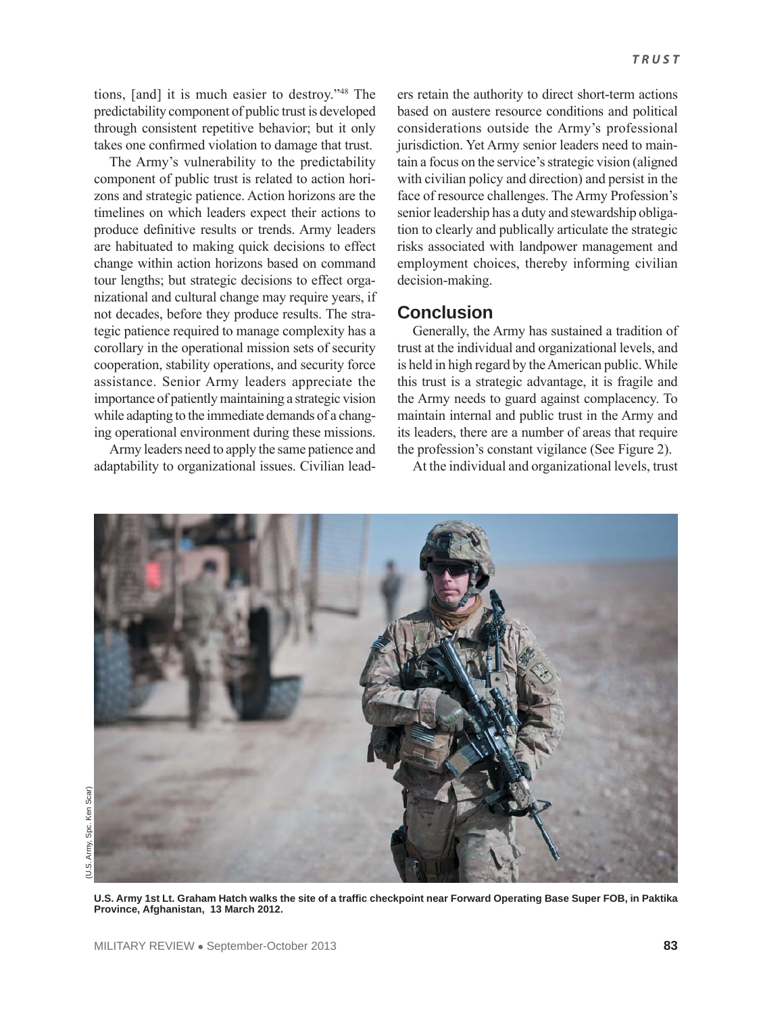tions, [and] it is much easier to destroy."48 The predictability component of public trust is developed through consistent repetitive behavior; but it only takes one confirmed violation to damage that trust.

The Army's vulnerability to the predictability component of public trust is related to action horizons and strategic patience. Action horizons are the timelines on which leaders expect their actions to produce definitive results or trends. Army leaders are habituated to making quick decisions to effect change within action horizons based on command tour lengths; but strategic decisions to effect organizational and cultural change may require years, if not decades, before they produce results. The strategic patience required to manage complexity has a corollary in the operational mission sets of security cooperation, stability operations, and security force assistance. Senior Army leaders appreciate the importance of patiently maintaining a strategic vision while adapting to the immediate demands of a changing operational environment during these missions.

Army leaders need to apply the same patience and adaptability to organizational issues. Civilian leaders retain the authority to direct short-term actions based on austere resource conditions and political considerations outside the Army's professional jurisdiction. Yet Army senior leaders need to maintain a focus on the service's strategic vision (aligned with civilian policy and direction) and persist in the face of resource challenges. The Army Profession's senior leadership has a duty and stewardship obligation to clearly and publically articulate the strategic risks associated with landpower management and employment choices, thereby informing civilian decision-making.

#### **Conclusion**

Generally, the Army has sustained a tradition of trust at the individual and organizational levels, and is held in high regard by the American public. While this trust is a strategic advantage, it is fragile and the Army needs to guard against complacency. To maintain internal and public trust in the Army and its leaders, there are a number of areas that require the profession's constant vigilance (See Figure 2).

At the individual and organizational levels, trust

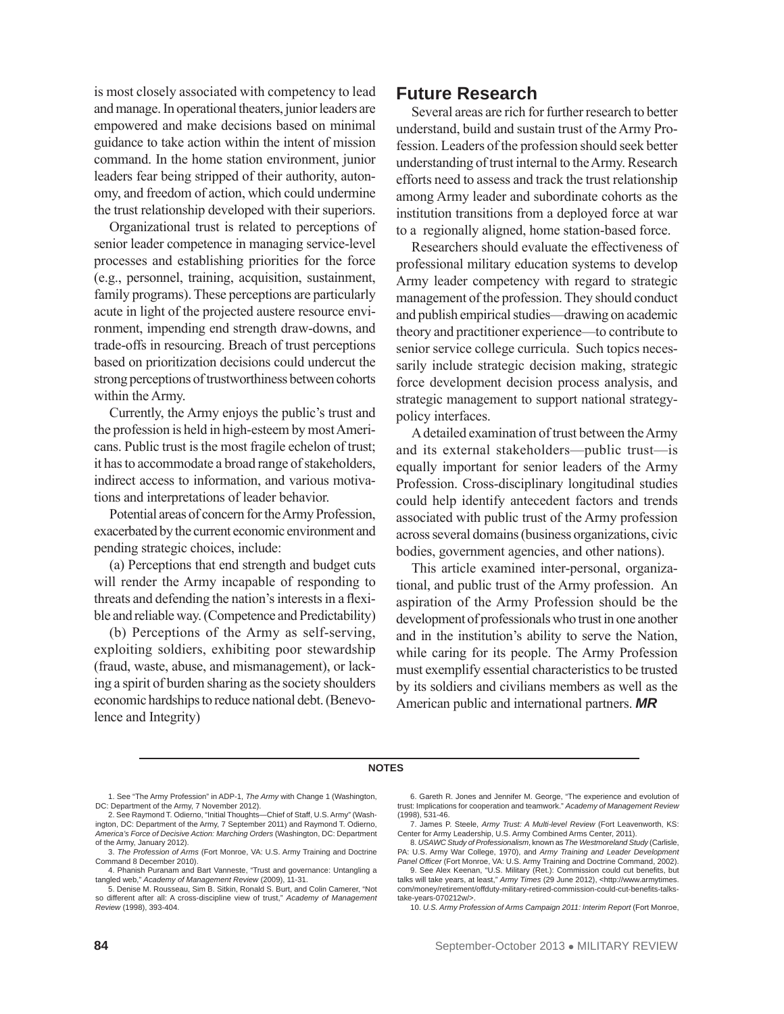is most closely associated with competency to lead and manage. In operational theaters, junior leaders are empowered and make decisions based on minimal guidance to take action within the intent of mission command. In the home station environment, junior leaders fear being stripped of their authority, autonomy, and freedom of action, which could undermine the trust relationship developed with their superiors.

Organizational trust is related to perceptions of senior leader competence in managing service-level processes and establishing priorities for the force (e.g., personnel, training, acquisition, sustainment, family programs). These perceptions are particularly acute in light of the projected austere resource environment, impending end strength draw-downs, and trade-offs in resourcing. Breach of trust perceptions based on prioritization decisions could undercut the strong perceptions of trustworthiness between cohorts within the Army.

Currently, the Army enjoys the public's trust and the profession is held in high-esteem by most Americans. Public trust is the most fragile echelon of trust; it has to accommodate a broad range of stakeholders, indirect access to information, and various motivations and interpretations of leader behavior.

Potential areas of concern for the Army Profession, exacerbated by the current economic environment and pending strategic choices, include:

(a) Perceptions that end strength and budget cuts will render the Army incapable of responding to threats and defending the nation's interests in a flexible and reliable way. (Competence and Predictability)

(b) Perceptions of the Army as self-serving, exploiting soldiers, exhibiting poor stewardship (fraud, waste, abuse, and mismanagement), or lacking a spirit of burden sharing as the society shoulders economic hardships to reduce national debt. (Benevolence and Integrity)

#### **Future Research**

Several areas are rich for further research to better understand, build and sustain trust of the Army Profession. Leaders of the profession should seek better understanding of trust internal to the Army. Research efforts need to assess and track the trust relationship among Army leader and subordinate cohorts as the institution transitions from a deployed force at war to a regionally aligned, home station-based force.

Researchers should evaluate the effectiveness of professional military education systems to develop Army leader competency with regard to strategic management of the profession. They should conduct and publish empirical studies—drawing on academic theory and practitioner experience—to contribute to senior service college curricula. Such topics necessarily include strategic decision making, strategic force development decision process analysis, and strategic management to support national strategypolicy interfaces.

A detailed examination of trust between the Army and its external stakeholders—public trust—is equally important for senior leaders of the Army Profession. Cross-disciplinary longitudinal studies could help identify antecedent factors and trends associated with public trust of the Army profession across several domains (business organizations, civic bodies, government agencies, and other nations).

This article examined inter-personal, organizational, and public trust of the Army profession. An aspiration of the Army Profession should be the development of professionals who trust in one another and in the institution's ability to serve the Nation, while caring for its people. The Army Profession must exemplify essential characteristics to be trusted by its soldiers and civilians members as well as the American public and international partners. *MR*

#### **NOTES**

1. See "The Army Profession" in ADP-1, *The Army* with Change 1 (Washington, DC: Department of the Army, 7 November 2012).

6. Gareth R. Jones and Jennifer M. George, "The experience and evolution of trust: Implications for cooperation and teamwork." *Academy of Management Review* (1998), 531-46.

10. *U.S. Army Profession of Arms Campaign 2011: Interim Report* (Fort Monroe,

<sup>2.</sup> See Raymond T. Odierno, "Initial Thoughts—Chief of Staff, U.S. Army" (Washington, DC: Department of the Army, 7 September 2011) and Raymond T. Odierno, *America's Force of Decisive Action: Marching Orders* (Washington, DC: Department of the Army, January 2012).

<sup>3.</sup> *The Profession of Arms* (Fort Monroe, VA: U.S. Army Training and Doctrine Command 8 December 2010).

<sup>4.</sup> Phanish Puranam and Bart Vanneste, "Trust and governance: Untangling a tangled web," *Academy of Management Review* (2009), 11-31.

<sup>5.</sup> Denise M. Rousseau, Sim B. Sitkin, Ronald S. Burt, and Colin Camerer, "Not so different after all: A cross-discipline view of trust," *Academy of Management Review* (1998), 393-404.

<sup>7.</sup> James P. Steele, *Army Trust: A Multi-level Review* (Fort Leavenworth, KS: Center for Army Leadership, U.S. Army Combined Arms Center, 2011).

<sup>8.</sup> *USAWC Study of Professionalism*, known as *The Westmoreland Study* (Carlisle, PA: U.S. Army War College, 1970), and *Army Training and Leader Development Panel Officer* (Fort Monroe, VA: U.S. Army Training and Doctrine Command, 2002).

<sup>9.</sup> See Alex Keenan, "U.S. Military (Ret.): Commission could cut benefits, but talks will take years, at least," *Army Times* (29 June 2012), <http://www.armytimes. com/money/retirement/offduty-military-retired-commission-could-cut-benefits-talkstake-years-070212w/>.